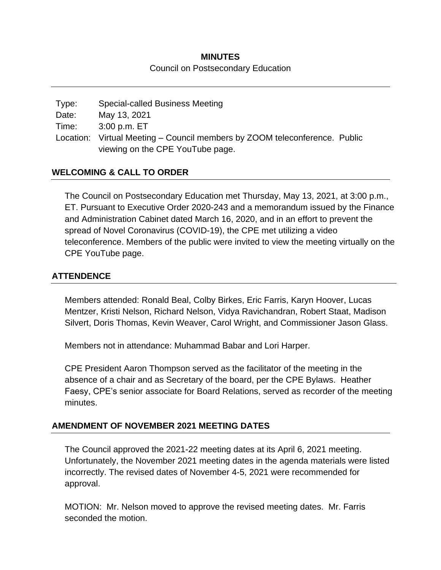#### **MINUTES**

#### Council on Postsecondary Education

Type: Special-called Business Meeting Date: May 13, 2021 Time: 3:00 p.m. ET Location: Virtual Meeting – Council members by ZOOM teleconference. Public viewing on the CPE YouTube page.

## **WELCOMING & CALL TO ORDER**

The Council on Postsecondary Education met Thursday, May 13, 2021, at 3:00 p.m., ET. Pursuant to Executive Order 2020-243 and a memorandum issued by the Finance and Administration Cabinet dated March 16, 2020, and in an effort to prevent the spread of Novel Coronavirus (COVID-19), the CPE met utilizing a video teleconference. Members of the public were invited to view the meeting virtually on the CPE YouTube page.

# **ATTENDENCE**

Members attended: Ronald Beal, Colby Birkes, Eric Farris, Karyn Hoover, Lucas Mentzer, Kristi Nelson, Richard Nelson, Vidya Ravichandran, Robert Staat, Madison Silvert, Doris Thomas, Kevin Weaver, Carol Wright, and Commissioner Jason Glass.

Members not in attendance: Muhammad Babar and Lori Harper.

CPE President Aaron Thompson served as the facilitator of the meeting in the absence of a chair and as Secretary of the board, per the CPE Bylaws. Heather Faesy, CPE's senior associate for Board Relations, served as recorder of the meeting minutes.

## **AMENDMENT OF NOVEMBER 2021 MEETING DATES**

The Council approved the 2021-22 meeting dates at its April 6, 2021 meeting. Unfortunately, the November 2021 meeting dates in the agenda materials were listed incorrectly. The revised dates of November 4-5, 2021 were recommended for approval.

MOTION: Mr. Nelson moved to approve the revised meeting dates. Mr. Farris seconded the motion.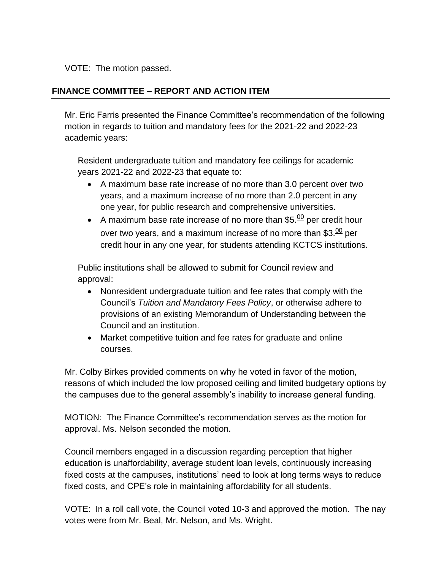VOTE: The motion passed.

# **FINANCE COMMITTEE – REPORT AND ACTION ITEM**

Mr. Eric Farris presented the Finance Committee's recommendation of the following motion in regards to tuition and mandatory fees for the 2021-22 and 2022-23 academic years:

Resident undergraduate tuition and mandatory fee ceilings for academic years 2021-22 and 2022-23 that equate to:

- A maximum base rate increase of no more than 3.0 percent over two years, and a maximum increase of no more than 2.0 percent in any one year, for public research and comprehensive universities.
- A maximum base rate increase of no more than  $$5.00$  per credit hour over two years, and a maximum increase of no more than  $$3.\overline{^{00}}$  per credit hour in any one year, for students attending KCTCS institutions.

Public institutions shall be allowed to submit for Council review and approval:

- Nonresident undergraduate tuition and fee rates that comply with the Council's *Tuition and Mandatory Fees Policy*, or otherwise adhere to provisions of an existing Memorandum of Understanding between the Council and an institution.
- Market competitive tuition and fee rates for graduate and online courses.

Mr. Colby Birkes provided comments on why he voted in favor of the motion, reasons of which included the low proposed ceiling and limited budgetary options by the campuses due to the general assembly's inability to increase general funding.

MOTION: The Finance Committee's recommendation serves as the motion for approval. Ms. Nelson seconded the motion.

Council members engaged in a discussion regarding perception that higher education is unaffordability, average student loan levels, continuously increasing fixed costs at the campuses, institutions' need to look at long terms ways to reduce fixed costs, and CPE's role in maintaining affordability for all students.

VOTE: In a roll call vote, the Council voted 10-3 and approved the motion. The nay votes were from Mr. Beal, Mr. Nelson, and Ms. Wright.